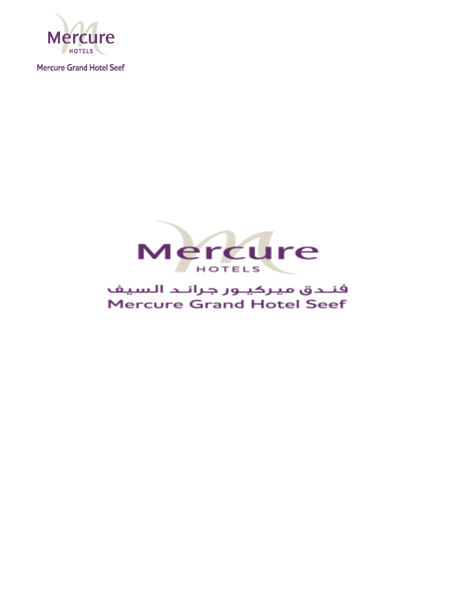



# فنلدق ميركيلور جرانلد السيف **Mercure Grand Hotel Seef**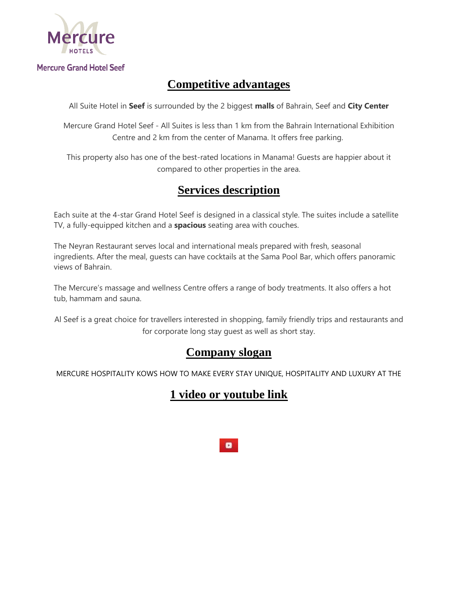

# **Competitive advantages**

All Suite Hotel in **Seef** is surrounded by the 2 biggest **malls** of Bahrain, Seef and **City Center**

Mercure Grand Hotel Seef - All Suites is less than 1 km from the Bahrain International Exhibition Centre and 2 km from the center of Manama. It offers free parking.

This property also has one of the best-rated locations in Manama! Guests are happier about it compared to other properties in the area.

## **Services description**

Each suite at the 4-star Grand Hotel Seef is designed in a classical style. The suites include a satellite TV, a fully-equipped kitchen and a **spacious** seating area with couches.

The Neyran Restaurant serves local and international meals prepared with fresh, seasonal ingredients. After the meal, guests can have cocktails at the Sama Pool Bar, which offers panoramic views of Bahrain.

The Mercure's massage and wellness Centre offers a range of body treatments. It also offers a hot tub, hammam and sauna.

Al Seef is a great choice for travellers interested in shopping, family friendly trips and restaurants and for corporate long stay guest as well as short stay.

### **Company slogan**

MERCURE HOSPITALITY KOWS HOW TO MAKE EVERY STAY UNIQUE, HOSPITALITY AND LUXURY AT THE

# **1 video or youtube link**

 $\bullet$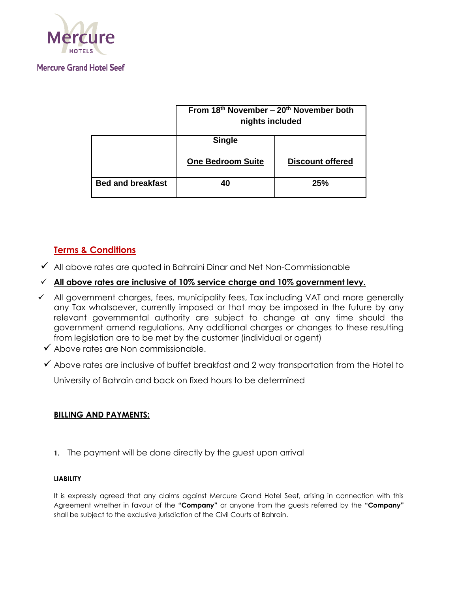

|                          | From $18th$ November – $20th$ November both<br>nights included |                         |
|--------------------------|----------------------------------------------------------------|-------------------------|
|                          | <b>Single</b>                                                  |                         |
|                          | <b>One Bedroom Suite</b>                                       | <b>Discount offered</b> |
| <b>Bed and breakfast</b> | 40                                                             | 25%                     |

### **Terms & Conditions**

- $\checkmark$  All above rates are quoted in Bahraini Dinar and Net Non-Commissionable
- **All above rates are inclusive of 10% service charge and 10% government levy.**
- $\checkmark$  All government charges, fees, municipality fees, Tax including VAT and more generally any Tax whatsoever, currently imposed or that may be imposed in the future by any relevant governmental authority are subject to change at any time should the government amend regulations. Any additional charges or changes to these resulting from legislation are to be met by the customer (individual or agent)
	- Above rates are Non commissionable.
	- $\checkmark$  Above rates are inclusive of buffet breakfast and 2 way transportation from the Hotel to

University of Bahrain and back on fixed hours to be determined

### **BILLING AND PAYMENTS:**

**1.** The payment will be done directly by the guest upon arrival

#### **LIABILITY**

It is expressly agreed that any claims against Mercure Grand Hotel Seef, arising in connection with this Agreement whether in favour of the **"Company"** or anyone from the guests referred by the **"Company"**  shall be subject to the exclusive jurisdiction of the Civil Courts of Bahrain.